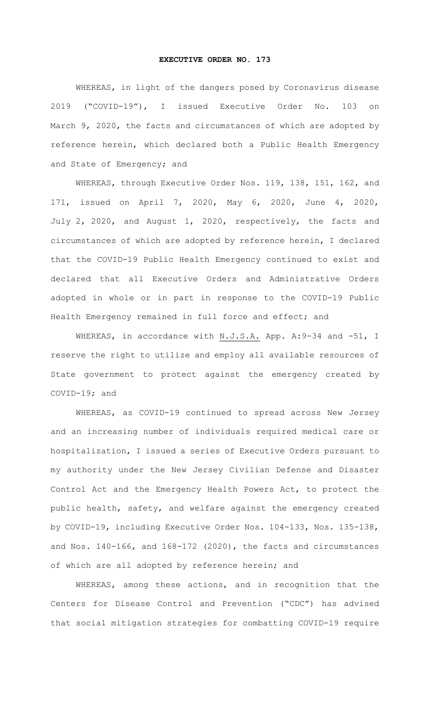## **EXECUTIVE ORDER NO. 173**

WHEREAS, in light of the dangers posed by Coronavirus disease 2019 ("COVID-19"), I issued Executive Order No. 103 on March 9, 2020, the facts and circumstances of which are adopted by reference herein, which declared both a Public Health Emergency and State of Emergency; and

WHEREAS, through Executive Order Nos. 119, 138, 151, 162, and 171, issued on April 7, 2020, May 6, 2020, June 4, 2020, July 2, 2020, and August 1, 2020, respectively, the facts and circumstances of which are adopted by reference herein, I declared that the COVID-19 Public Health Emergency continued to exist and declared that all Executive Orders and Administrative Orders adopted in whole or in part in response to the COVID-19 Public Health Emergency remained in full force and effect; and

WHEREAS, in accordance with N.J.S.A. App. A: 9-34 and -51, I reserve the right to utilize and employ all available resources of State government to protect against the emergency created by COVID-19; and

WHEREAS, as COVID-19 continued to spread across New Jersey and an increasing number of individuals required medical care or hospitalization, I issued a series of Executive Orders pursuant to my authority under the New Jersey Civilian Defense and Disaster Control Act and the Emergency Health Powers Act, to protect the public health, safety, and welfare against the emergency created by COVID-19, including Executive Order Nos. 104-133, Nos. 135-138, and Nos. 140-166, and 168-172 (2020), the facts and circumstances of which are all adopted by reference herein; and

WHEREAS, among these actions, and in recognition that the Centers for Disease Control and Prevention ("CDC") has advised that social mitigation strategies for combatting COVID-19 require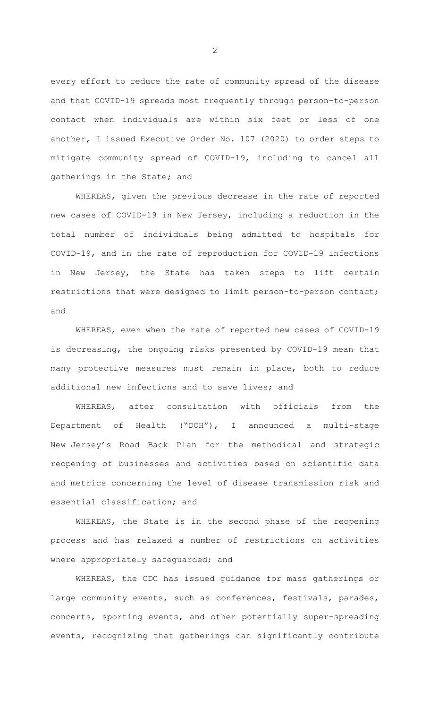every effort to reduce the rate of community spread of the disease and that COVID-19 spreads most frequently through person-to-person contact when individuals are within six feet or less of one another, I issued Executive Order No. 107 (2020) to order steps to mitigate community spread of COVID-19, including to cancel all gatherings in the State; and

WHEREAS, given the previous decrease in the rate of reported new cases of COVID-19 in New Jersey, including a reduction in the total number of individuals being admitted to hospitals for COVID-19, and in the rate of reproduction for COVID-19 infections in New Jersey, the State has taken steps to lift certain restrictions that were designed to limit person-to-person contact; and

WHEREAS, even when the rate of reported new cases of COVID-19 is decreasing, the ongoing risks presented by COVID-19 mean that many protective measures must remain in place, both to reduce additional new infections and to save lives; and

WHEREAS, after consultation with officials from the Department of Health ("DOH"), I announced a multi-stage New Jersey's Road Back Plan for the methodical and strategic reopening of businesses and activities based on scientific data and metrics concerning the level of disease transmission risk and essential classification; and

WHEREAS, the State is in the second phase of the reopening process and has relaxed a number of restrictions on activities where appropriately safeguarded; and

WHEREAS, the CDC has issued guidance for mass gatherings or large community events, such as conferences, festivals, parades, concerts, sporting events, and other potentially super-spreading events, recognizing that gatherings can significantly contribute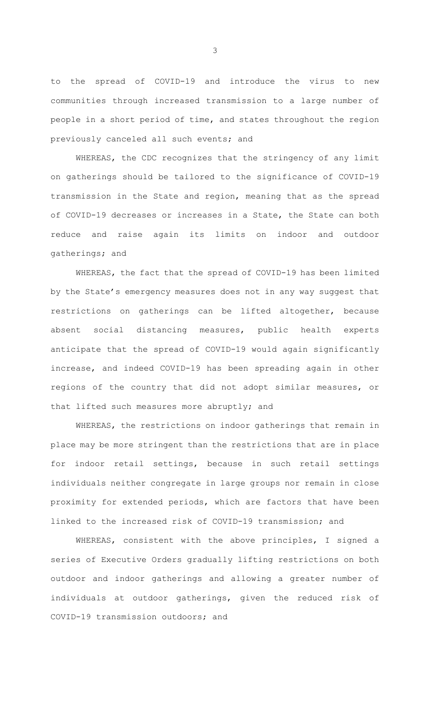to the spread of COVID-19 and introduce the virus to new communities through increased transmission to a large number of people in a short period of time, and states throughout the region previously canceled all such events; and

WHEREAS, the CDC recognizes that the stringency of any limit on gatherings should be tailored to the significance of COVID-19 transmission in the State and region, meaning that as the spread of COVID-19 decreases or increases in a State, the State can both reduce and raise again its limits on indoor and outdoor gatherings; and

WHEREAS, the fact that the spread of COVID-19 has been limited by the State's emergency measures does not in any way suggest that restrictions on gatherings can be lifted altogether, because absent social distancing measures, public health experts anticipate that the spread of COVID-19 would again significantly increase, and indeed COVID-19 has been spreading again in other regions of the country that did not adopt similar measures, or that lifted such measures more abruptly; and

WHEREAS, the restrictions on indoor gatherings that remain in place may be more stringent than the restrictions that are in place for indoor retail settings, because in such retail settings individuals neither congregate in large groups nor remain in close proximity for extended periods, which are factors that have been linked to the increased risk of COVID-19 transmission; and

WHEREAS, consistent with the above principles, I signed a series of Executive Orders gradually lifting restrictions on both outdoor and indoor gatherings and allowing a greater number of individuals at outdoor gatherings, given the reduced risk of COVID-19 transmission outdoors; and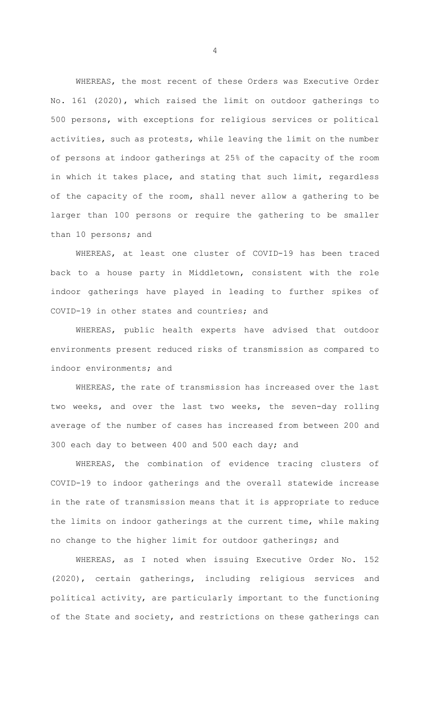WHEREAS, the most recent of these Orders was Executive Order No. 161 (2020), which raised the limit on outdoor gatherings to 500 persons, with exceptions for religious services or political activities, such as protests, while leaving the limit on the number of persons at indoor gatherings at 25% of the capacity of the room in which it takes place, and stating that such limit, regardless of the capacity of the room, shall never allow a gathering to be larger than 100 persons or require the gathering to be smaller than 10 persons; and

WHEREAS, at least one cluster of COVID-19 has been traced back to a house party in Middletown, consistent with the role indoor gatherings have played in leading to further spikes of COVID-19 in other states and countries; and

WHEREAS, public health experts have advised that outdoor environments present reduced risks of transmission as compared to indoor environments; and

WHEREAS, the rate of transmission has increased over the last two weeks, and over the last two weeks, the seven-day rolling average of the number of cases has increased from between 200 and 300 each day to between 400 and 500 each day; and

WHEREAS, the combination of evidence tracing clusters of COVID-19 to indoor gatherings and the overall statewide increase in the rate of transmission means that it is appropriate to reduce the limits on indoor gatherings at the current time, while making no change to the higher limit for outdoor gatherings; and

WHEREAS, as I noted when issuing Executive Order No. 152 (2020), certain gatherings, including religious services and political activity, are particularly important to the functioning of the State and society, and restrictions on these gatherings can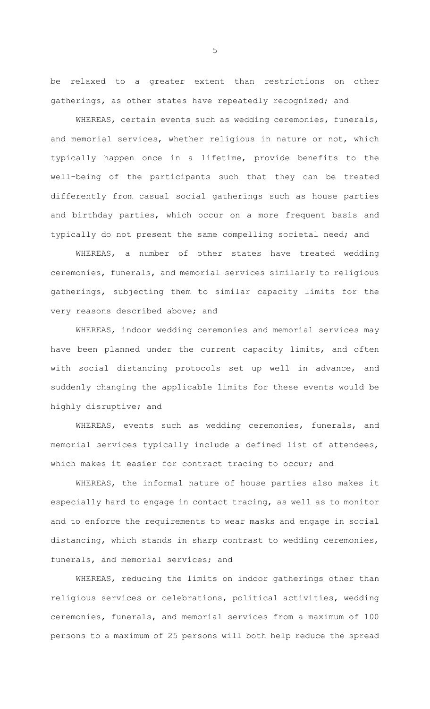be relaxed to a greater extent than restrictions on other gatherings, as other states have repeatedly recognized; and

WHEREAS, certain events such as wedding ceremonies, funerals, and memorial services, whether religious in nature or not, which typically happen once in a lifetime, provide benefits to the well-being of the participants such that they can be treated differently from casual social gatherings such as house parties and birthday parties, which occur on a more frequent basis and typically do not present the same compelling societal need; and

WHEREAS, a number of other states have treated wedding ceremonies, funerals, and memorial services similarly to religious gatherings, subjecting them to similar capacity limits for the very reasons described above; and

WHEREAS, indoor wedding ceremonies and memorial services may have been planned under the current capacity limits, and often with social distancing protocols set up well in advance, and suddenly changing the applicable limits for these events would be highly disruptive; and

WHEREAS, events such as wedding ceremonies, funerals, and memorial services typically include a defined list of attendees, which makes it easier for contract tracing to occur; and

WHEREAS, the informal nature of house parties also makes it especially hard to engage in contact tracing, as well as to monitor and to enforce the requirements to wear masks and engage in social distancing, which stands in sharp contrast to wedding ceremonies, funerals, and memorial services; and

WHEREAS, reducing the limits on indoor gatherings other than religious services or celebrations, political activities, wedding ceremonies, funerals, and memorial services from a maximum of 100 persons to a maximum of 25 persons will both help reduce the spread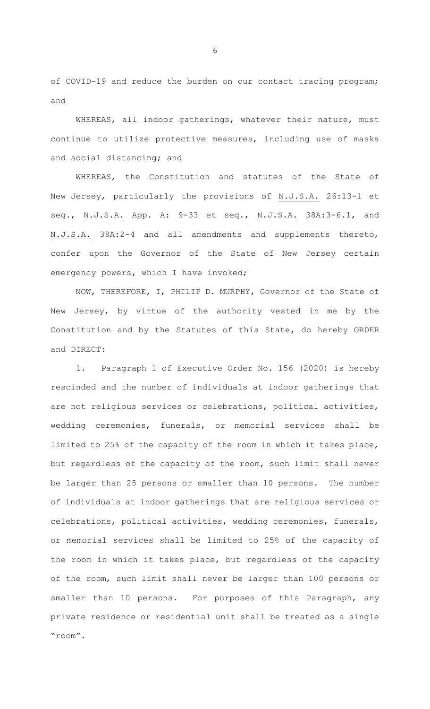of COVID-19 and reduce the burden on our contact tracing program; and

WHEREAS, all indoor gatherings, whatever their nature, must continue to utilize protective measures, including use of masks and social distancing; and

WHEREAS, the Constitution and statutes of the State of New Jersey, particularly the provisions of N.J.S.A. 26:13-1 et seq., N.J.S.A. App. A: 9-33 et seq., N.J.S.A. 38A:3-6.1, and N.J.S.A. 38A:2-4 and all amendments and supplements thereto, confer upon the Governor of the State of New Jersey certain emergency powers, which I have invoked;

NOW, THEREFORE, I, PHILIP D. MURPHY, Governor of the State of New Jersey, by virtue of the authority vested in me by the Constitution and by the Statutes of this State, do hereby ORDER and DIRECT:

1. Paragraph 1 of Executive Order No. 156 (2020) is hereby rescinded and the number of individuals at indoor gatherings that are not religious services or celebrations, political activities, wedding ceremonies, funerals, or memorial services shall be limited to 25% of the capacity of the room in which it takes place, but regardless of the capacity of the room, such limit shall never be larger than 25 persons or smaller than 10 persons. The number of individuals at indoor gatherings that are religious services or celebrations, political activities, wedding ceremonies, funerals, or memorial services shall be limited to 25% of the capacity of the room in which it takes place, but regardless of the capacity of the room, such limit shall never be larger than 100 persons or smaller than 10 persons. For purposes of this Paragraph, any private residence or residential unit shall be treated as a single "room".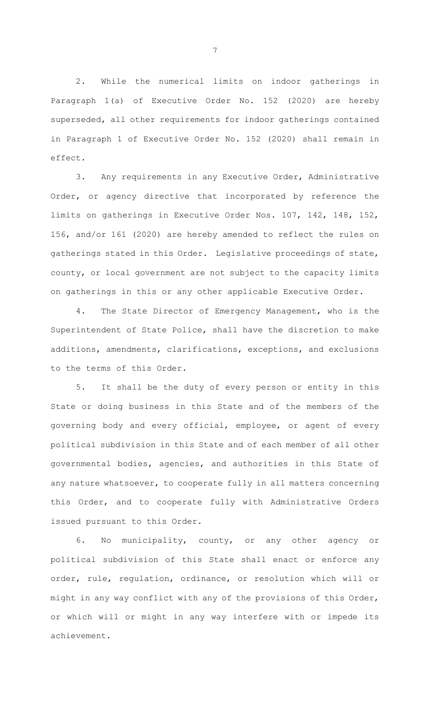2. While the numerical limits on indoor gatherings in Paragraph 1(a) of Executive Order No. 152 (2020) are hereby superseded, all other requirements for indoor gatherings contained in Paragraph 1 of Executive Order No. 152 (2020) shall remain in effect.

3. Any requirements in any Executive Order, Administrative Order, or agency directive that incorporated by reference the limits on gatherings in Executive Order Nos. 107, 142, 148, 152, 156, and/or 161 (2020) are hereby amended to reflect the rules on gatherings stated in this Order. Legislative proceedings of state, county, or local government are not subject to the capacity limits on gatherings in this or any other applicable Executive Order.

4. The State Director of Emergency Management, who is the Superintendent of State Police, shall have the discretion to make additions, amendments, clarifications, exceptions, and exclusions to the terms of this Order.

5. It shall be the duty of every person or entity in this State or doing business in this State and of the members of the governing body and every official, employee, or agent of every political subdivision in this State and of each member of all other governmental bodies, agencies, and authorities in this State of any nature whatsoever, to cooperate fully in all matters concerning this Order, and to cooperate fully with Administrative Orders issued pursuant to this Order.

6. No municipality, county, or any other agency or political subdivision of this State shall enact or enforce any order, rule, regulation, ordinance, or resolution which will or might in any way conflict with any of the provisions of this Order, or which will or might in any way interfere with or impede its achievement.